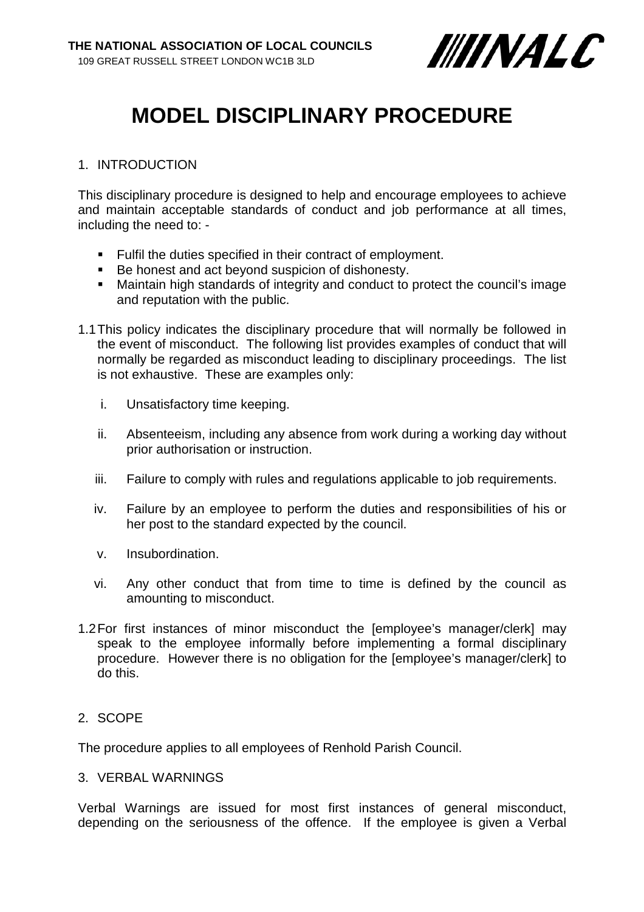

# **MODEL DISCIPLINARY PROCEDURE**

# 1. INTRODUCTION

This disciplinary procedure is designed to help and encourage employees to achieve and maintain acceptable standards of conduct and job performance at all times, including the need to: -

- **Fulfil the duties specified in their contract of employment.**
- Be honest and act beyond suspicion of dishonesty.
- Maintain high standards of integrity and conduct to protect the council's image and reputation with the public.
- 1.1This policy indicates the disciplinary procedure that will normally be followed in the event of misconduct. The following list provides examples of conduct that will normally be regarded as misconduct leading to disciplinary proceedings. The list is not exhaustive. These are examples only:
	- i. Unsatisfactory time keeping.
	- ii. Absenteeism, including any absence from work during a working day without prior authorisation or instruction.
	- iii. Failure to comply with rules and regulations applicable to job requirements.
	- iv. Failure by an employee to perform the duties and responsibilities of his or her post to the standard expected by the council.
	- v. Insubordination.
	- vi. Any other conduct that from time to time is defined by the council as amounting to misconduct.
- 1.2For first instances of minor misconduct the [employee's manager/clerk] may speak to the employee informally before implementing a formal disciplinary procedure. However there is no obligation for the [employee's manager/clerk] to do this.

# 2. SCOPE

The procedure applies to all employees of Renhold Parish Council.

# 3. VERBAL WARNINGS

Verbal Warnings are issued for most first instances of general misconduct, depending on the seriousness of the offence. If the employee is given a Verbal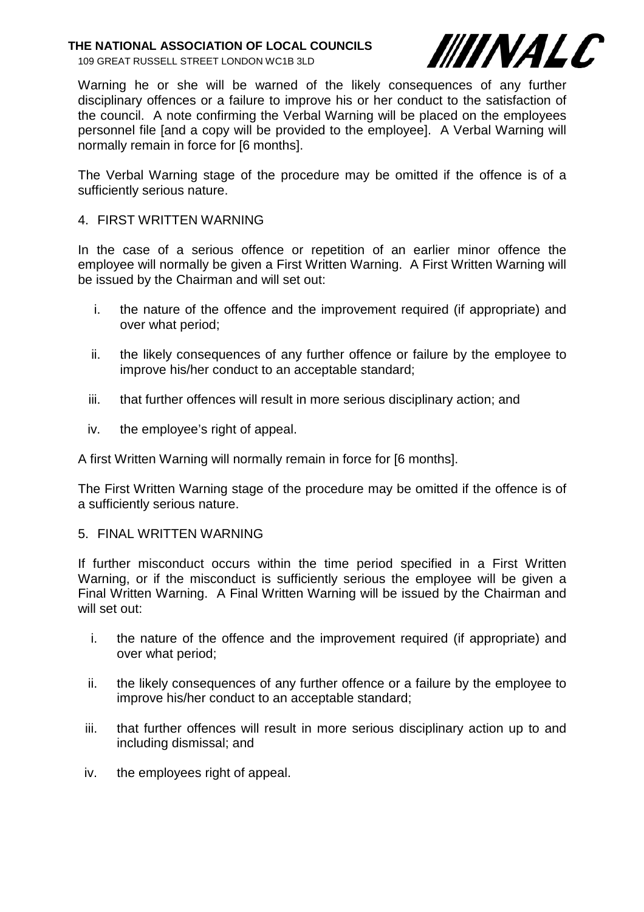109 GREAT RUSSELL STREET LONDON WC1B 3LD



Warning he or she will be warned of the likely consequences of any further disciplinary offences or a failure to improve his or her conduct to the satisfaction of the council. A note confirming the Verbal Warning will be placed on the employees personnel file [and a copy will be provided to the employee]. A Verbal Warning will normally remain in force for [6 months].

The Verbal Warning stage of the procedure may be omitted if the offence is of a sufficiently serious nature.

## 4. FIRST WRITTEN WARNING

In the case of a serious offence or repetition of an earlier minor offence the employee will normally be given a First Written Warning. A First Written Warning will be issued by the Chairman and will set out:

- i. the nature of the offence and the improvement required (if appropriate) and over what period;
- ii. the likely consequences of any further offence or failure by the employee to improve his/her conduct to an acceptable standard;
- iii. that further offences will result in more serious disciplinary action; and
- iv. the employee's right of appeal.

A first Written Warning will normally remain in force for [6 months].

The First Written Warning stage of the procedure may be omitted if the offence is of a sufficiently serious nature.

#### 5. FINAL WRITTEN WARNING

If further misconduct occurs within the time period specified in a First Written Warning, or if the misconduct is sufficiently serious the employee will be given a Final Written Warning. A Final Written Warning will be issued by the Chairman and will set out:

- i. the nature of the offence and the improvement required (if appropriate) and over what period;
- ii. the likely consequences of any further offence or a failure by the employee to improve his/her conduct to an acceptable standard;
- iii. that further offences will result in more serious disciplinary action up to and including dismissal; and
- iv. the employees right of appeal.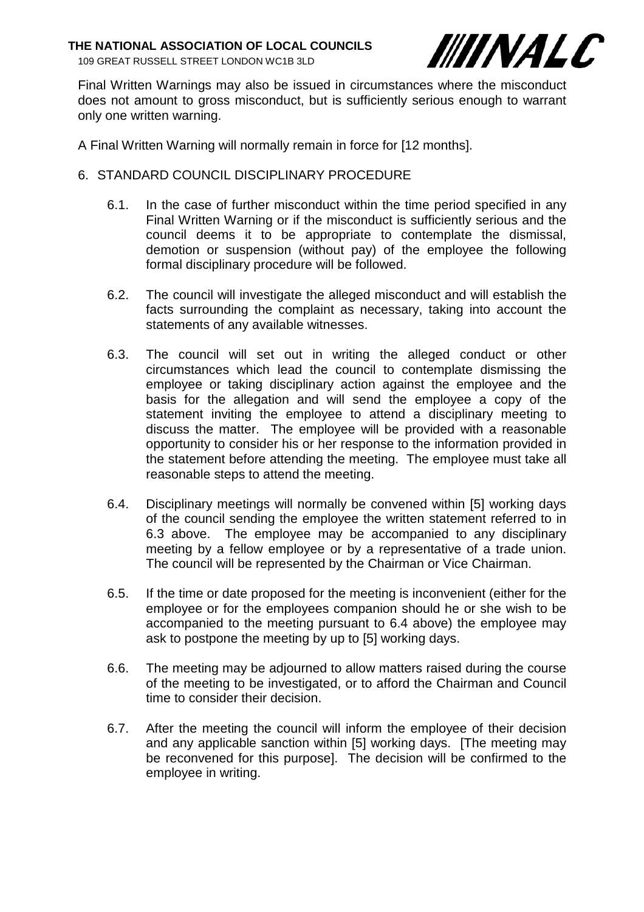109 GREAT RUSSELL STREET LONDON WC1B 3LD



Final Written Warnings may also be issued in circumstances where the misconduct does not amount to gross misconduct, but is sufficiently serious enough to warrant only one written warning.

A Final Written Warning will normally remain in force for [12 months].

- 6. STANDARD COUNCIL DISCIPLINARY PROCEDURE
	- 6.1. In the case of further misconduct within the time period specified in any Final Written Warning or if the misconduct is sufficiently serious and the council deems it to be appropriate to contemplate the dismissal, demotion or suspension (without pay) of the employee the following formal disciplinary procedure will be followed.
	- 6.2. The council will investigate the alleged misconduct and will establish the facts surrounding the complaint as necessary, taking into account the statements of any available witnesses.
	- 6.3. The council will set out in writing the alleged conduct or other circumstances which lead the council to contemplate dismissing the employee or taking disciplinary action against the employee and the basis for the allegation and will send the employee a copy of the statement inviting the employee to attend a disciplinary meeting to discuss the matter. The employee will be provided with a reasonable opportunity to consider his or her response to the information provided in the statement before attending the meeting. The employee must take all reasonable steps to attend the meeting.
	- 6.4. Disciplinary meetings will normally be convened within [5] working days of the council sending the employee the written statement referred to in 6.3 above. The employee may be accompanied to any disciplinary meeting by a fellow employee or by a representative of a trade union. The council will be represented by the Chairman or Vice Chairman.
	- 6.5. If the time or date proposed for the meeting is inconvenient (either for the employee or for the employees companion should he or she wish to be accompanied to the meeting pursuant to 6.4 above) the employee may ask to postpone the meeting by up to [5] working days.
	- 6.6. The meeting may be adjourned to allow matters raised during the course of the meeting to be investigated, or to afford the Chairman and Council time to consider their decision.
	- 6.7. After the meeting the council will inform the employee of their decision and any applicable sanction within [5] working days. [The meeting may be reconvened for this purpose]. The decision will be confirmed to the employee in writing.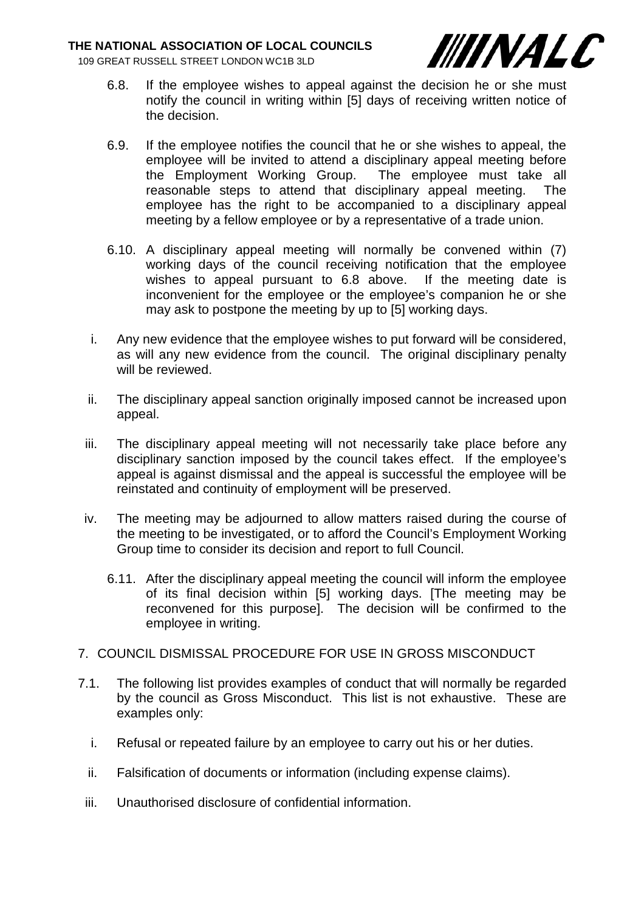109 GREAT RUSSELL STREET LONDON WC1B 3LD



- 6.8. If the employee wishes to appeal against the decision he or she must notify the council in writing within [5] days of receiving written notice of the decision.
- 6.9. If the employee notifies the council that he or she wishes to appeal, the employee will be invited to attend a disciplinary appeal meeting before the Employment Working Group. The employee must take all reasonable steps to attend that disciplinary appeal meeting. The employee has the right to be accompanied to a disciplinary appeal meeting by a fellow employee or by a representative of a trade union.
- 6.10. A disciplinary appeal meeting will normally be convened within (7) working days of the council receiving notification that the employee wishes to appeal pursuant to 6.8 above. If the meeting date is inconvenient for the employee or the employee's companion he or she may ask to postpone the meeting by up to [5] working days.
- i. Any new evidence that the employee wishes to put forward will be considered, as will any new evidence from the council. The original disciplinary penalty will be reviewed.
- ii. The disciplinary appeal sanction originally imposed cannot be increased upon appeal.
- iii. The disciplinary appeal meeting will not necessarily take place before any disciplinary sanction imposed by the council takes effect. If the employee's appeal is against dismissal and the appeal is successful the employee will be reinstated and continuity of employment will be preserved.
- iv. The meeting may be adjourned to allow matters raised during the course of the meeting to be investigated, or to afford the Council's Employment Working Group time to consider its decision and report to full Council.
	- 6.11. After the disciplinary appeal meeting the council will inform the employee of its final decision within [5] working days. [The meeting may be reconvened for this purpose]. The decision will be confirmed to the employee in writing.

# 7. COUNCIL DISMISSAL PROCEDURE FOR USE IN GROSS MISCONDUCT

- 7.1. The following list provides examples of conduct that will normally be regarded by the council as Gross Misconduct. This list is not exhaustive. These are examples only:
	- i. Refusal or repeated failure by an employee to carry out his or her duties.
	- ii. Falsification of documents or information (including expense claims).
	- iii. Unauthorised disclosure of confidential information.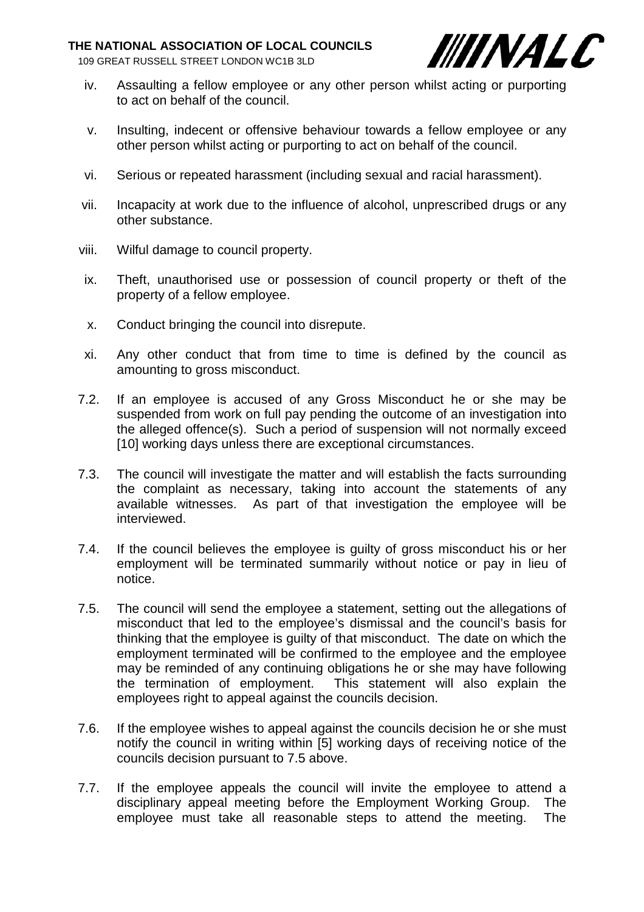109 GREAT RUSSELL STREET LONDON WC1B 3LD



- iv. Assaulting a fellow employee or any other person whilst acting or purporting to act on behalf of the council.
- v. Insulting, indecent or offensive behaviour towards a fellow employee or any other person whilst acting or purporting to act on behalf of the council.
- vi. Serious or repeated harassment (including sexual and racial harassment).
- vii. Incapacity at work due to the influence of alcohol, unprescribed drugs or any other substance.
- viii. Wilful damage to council property.
- ix. Theft, unauthorised use or possession of council property or theft of the property of a fellow employee.
- x. Conduct bringing the council into disrepute.
- xi. Any other conduct that from time to time is defined by the council as amounting to gross misconduct.
- 7.2. If an employee is accused of any Gross Misconduct he or she may be suspended from work on full pay pending the outcome of an investigation into the alleged offence(s). Such a period of suspension will not normally exceed [10] working days unless there are exceptional circumstances.
- 7.3. The council will investigate the matter and will establish the facts surrounding the complaint as necessary, taking into account the statements of any available witnesses. As part of that investigation the employee will be interviewed.
- 7.4. If the council believes the employee is guilty of gross misconduct his or her employment will be terminated summarily without notice or pay in lieu of notice.
- 7.5. The council will send the employee a statement, setting out the allegations of misconduct that led to the employee's dismissal and the council's basis for thinking that the employee is guilty of that misconduct. The date on which the employment terminated will be confirmed to the employee and the employee may be reminded of any continuing obligations he or she may have following the termination of employment. This statement will also explain the employees right to appeal against the councils decision.
- 7.6. If the employee wishes to appeal against the councils decision he or she must notify the council in writing within [5] working days of receiving notice of the councils decision pursuant to 7.5 above.
- 7.7. If the employee appeals the council will invite the employee to attend a disciplinary appeal meeting before the Employment Working Group. The employee must take all reasonable steps to attend the meeting. The